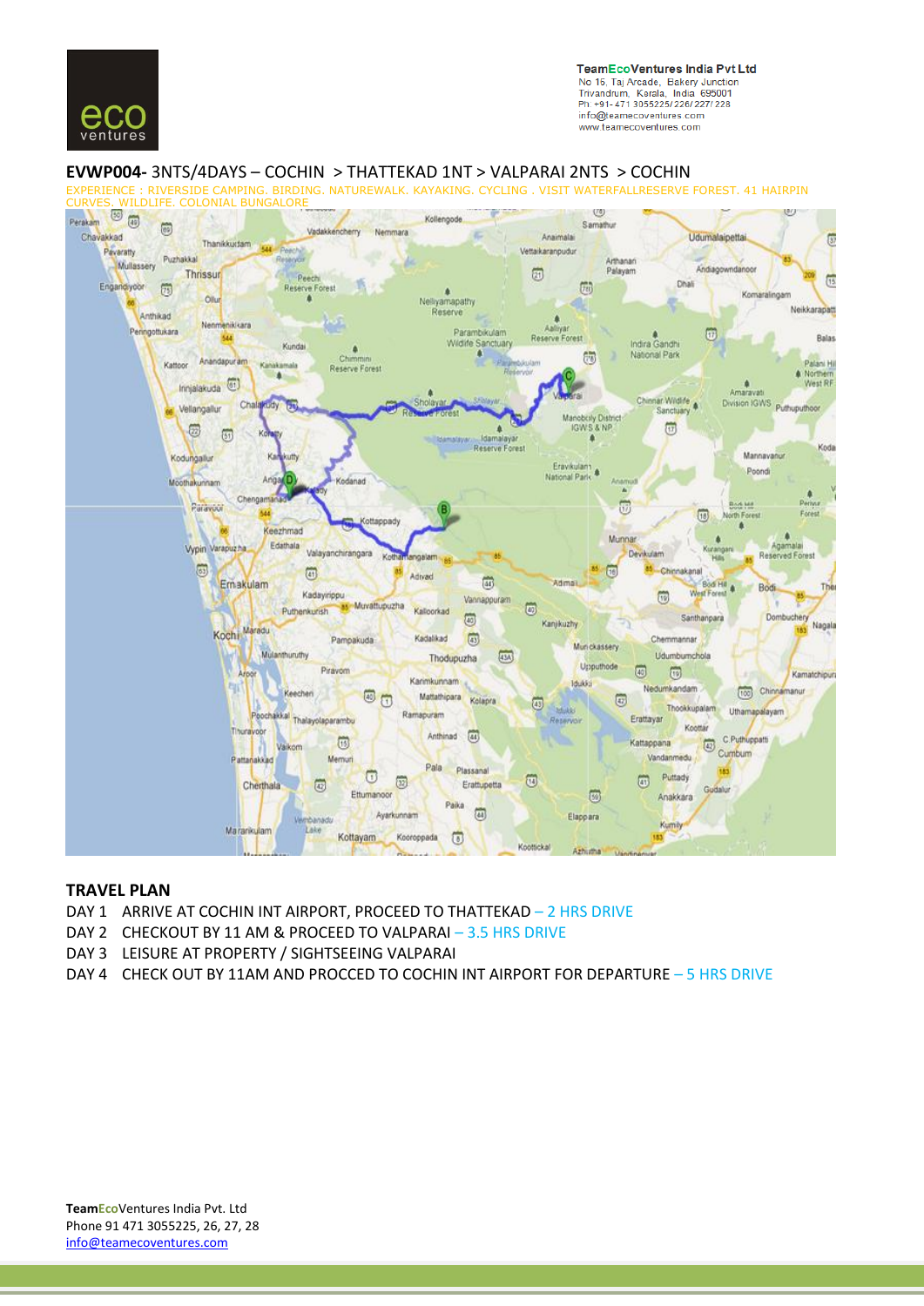

**TeamEcoVentures India Pvt Ltd** No 16, Taj Arcade, Bakery Junction<br>Trivandrum, Kerala, India 695001 Ph: +91-471 3055225/226/227/228 info@teamecoventures.com www.teamecoventures.com

## **EVWP004-** 3NTS/4DAYS – COCHIN > THATTEKAD 1NT > VALPARAI 2NTS > COCHIN

CAMPING. BIRDING. NATUREWALK. KAYAKING. CYCLING . VISIT WATERFALLRESERVE FOREST. 41 HAIRPIN CURVES. WILDLIFE. COLONIAL BUNGALORE U3 U)



## **TRAVEL PLAN**

- DAY 1 ARRIVE AT COCHIN INT AIRPORT, PROCEED TO THATTEKAD 2 HRS DRIVE
- DAY 2 CHECKOUT BY 11 AM & PROCEED TO VALPARAI 3.5 HRS DRIVE
- DAY 3 LEISURE AT PROPERTY / SIGHTSEEING VALPARAI
- DAY 4 CHECK OUT BY 11AM AND PROCCED TO COCHIN INT AIRPORT FOR DEPARTURE 5 HRS DRIVE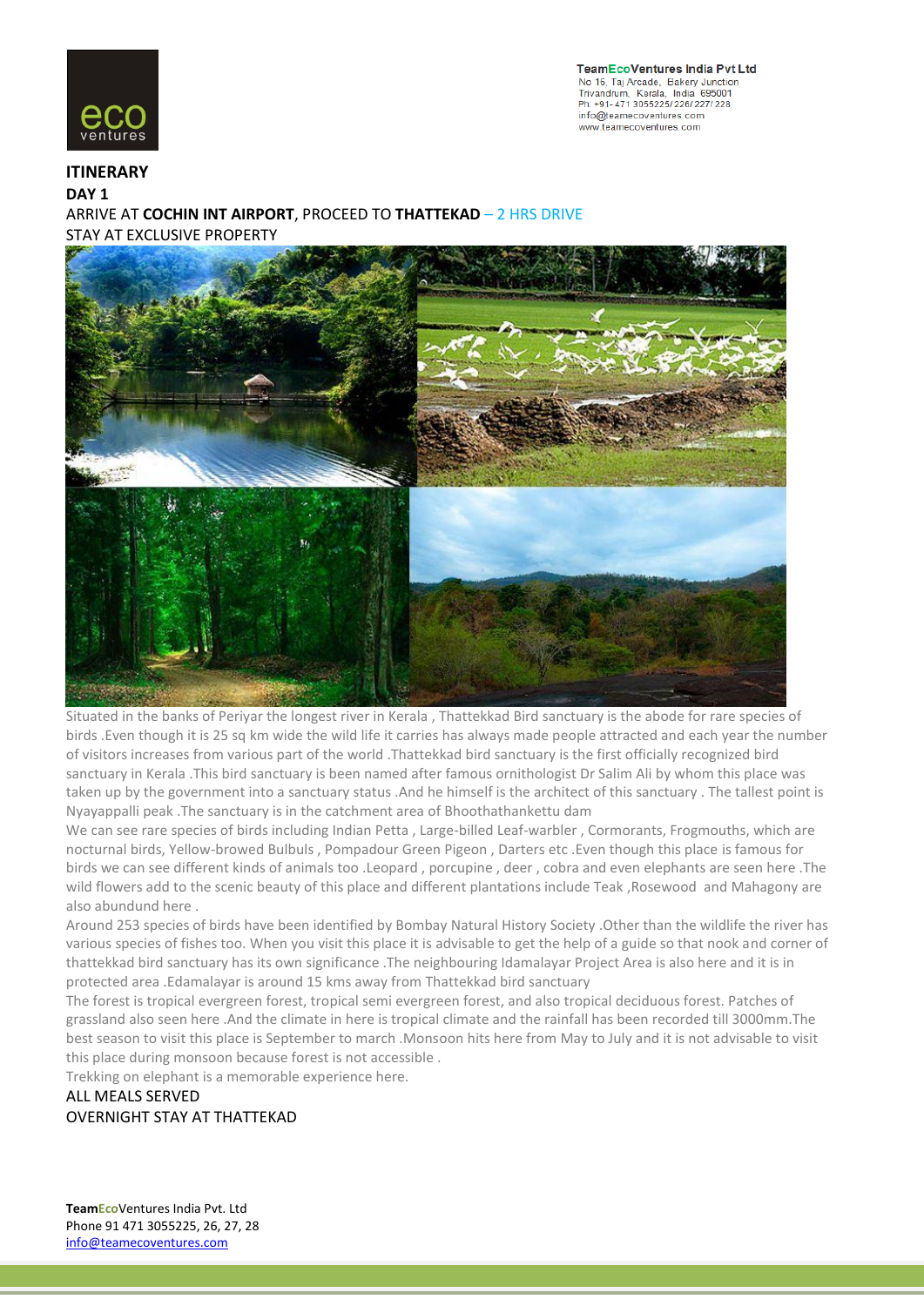

**TeamEcoVentures India Pvt Ltd** No 16, Taj Arcade, Bakery Junction<br>Trivandrum, Kerala, India 695001 Ph: +91-471 3055225/226/227/228 info@teamecoventures.com www.teamecoventures.com

**ITINERARY DAY 1** ARRIVE AT **COCHIN INT AIRPORT**, PROCEED TO **THATTEKAD** – 2 HRS DRIVE STAY AT EXCLUSIVE PROPERTY



Situated in the banks of Periyar the longest river in Kerala , Thattekkad Bird sanctuary is the abode for rare species of birds .Even though it is 25 sq km wide the wild life it carries has always made people attracted and each year the number of visitors increases from various part of the world .Thattekkad bird sanctuary is the first officially recognized bird sanctuary in Kerala .This bird sanctuary is been named after famous ornithologist Dr Salim Ali by whom this place was taken up by the government into a sanctuary status .And he himself is the architect of this sanctuary . The tallest point is Nyayappalli peak .The sanctuary is in the catchment area of Bhoothathankettu dam

We can see rare species of birds including Indian Petta , Large-billed Leaf-warbler , Cormorants, Frogmouths, which are nocturnal birds, Yellow-browed Bulbuls , Pompadour Green Pigeon , Darters etc .Even though this place is famous for birds we can see different kinds of animals too .Leopard , porcupine , deer , cobra and even elephants are seen here .The wild flowers add to the scenic beauty of this place and different plantations include Teak ,Rosewood and Mahagony are also abundund here .

Around 253 species of birds have been identified by Bombay Natural History Society .Other than the wildlife the river has various species of fishes too. When you visit this place it is advisable to get the help of a guide so that nook and corner of thattekkad bird sanctuary has its own significance .The neighbouring Idamalayar Project Area is also here and it is in protected area .Edamalayar is around 15 kms away from Thattekkad bird sanctuary

The forest is tropical evergreen forest, tropical semi evergreen forest, and also tropical deciduous forest. Patches of grassland also seen here .And the climate in here is tropical climate and the rainfall has been recorded till 3000mm.The best season to visit this place is September to march .Monsoon hits here from May to July and it is not advisable to visit this place during monsoon because forest is not accessible .

Trekking on elephant is a memorable experience here.

# ALL MEALS SERVED OVERNIGHT STAY AT THATTEKAD

**TeamEco**Ventures India Pvt. Ltd Phone 91 471 3055225, 26, 27, 28 info@teamecoventures.com